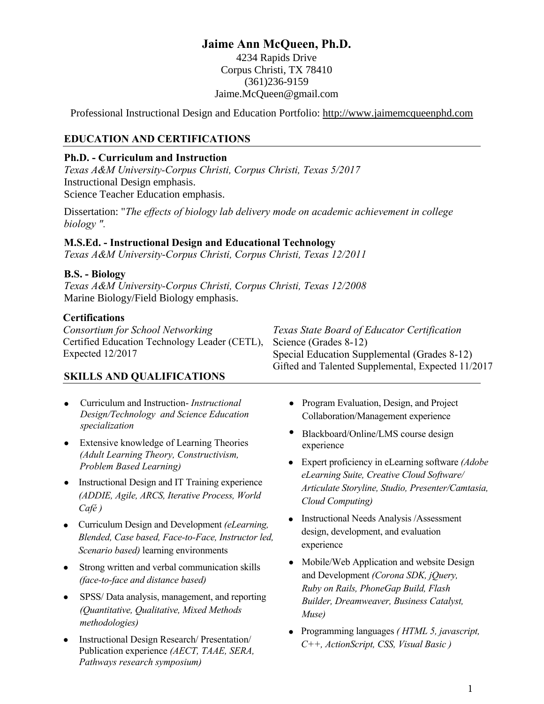# **Jaime Ann McQueen, Ph.D.**

4234 Rapids Drive Corpus Christi, TX 78410 (361)236-9159 Jaime.McQueen@gmail.com

Professional Instructional Design and Education Portfolio: http://www.jaimemcqueenphd.com

## **EDUCATION AND CERTIFICATIONS**

#### **Ph.D. - Curriculum and Instruction**

*Texas A&M University-Corpus Christi, Corpus Christi, Texas 5/2017* Instructional Design emphasis. Science Teacher Education emphasis.

Dissertation: "*The effects of biology lab delivery mode on academic achievement in college biology ".*

#### **M.S.Ed. - Instructional Design and Educational Technology**

*Texas A&M University-Corpus Christi, Corpus Christi, Texas 12/2011* 

#### **B.S. - Biology**

*Texas A&M University-Corpus Christi, Corpus Christi, Texas 12/2008*  Marine Biology/Field Biology emphasis.

#### **Certifications**

| Consortium for School Networking                                    | Texas State Board of Educator Certification        |
|---------------------------------------------------------------------|----------------------------------------------------|
| Certified Education Technology Leader (CETL), Science (Grades 8-12) |                                                    |
| Expected $12/2017$                                                  | Special Education Supplemental (Grades 8-12)       |
|                                                                     | Gifted and Talented Supplemental, Expected 11/2017 |

#### **SKILLS AND QUALIFICATIONS**

- Curriculum and Instruction- *Instructional Design/Technology and Science Education specialization*
- Extensive knowledge of Learning Theories *(Adult Learning Theory, Constructivism, Problem Based Learning)*
- Instructional Design and IT Training experience *(ADDIE, Agile, ARCS, Iterative Process, World Café )*
- Curriculum Design and Development *(eLearning, Blended, Case based, Face-to-Face, Instructor led, Scenario based)* learning environments
- Strong written and verbal communication skills *(face-to-face and distance based)*
- SPSS/ Data analysis, management, and reporting *(Quantitative, Qualitative, Mixed Methods methodologies)*
- Instructional Design Research/ Presentation/ Publication experience *(AECT, TAAE, SERA, Pathways research symposium)*
- Program Evaluation, Design, and Project Collaboration/Management experience
- Blackboard/Online/LMS course design experience
- Expert proficiency in eLearning software *(Adobe eLearning Suite, Creative Cloud Software/ Articulate Storyline, Studio, Presenter/Camtasia, Cloud Computing)*
- Instructional Needs Analysis /Assessment design, development, and evaluation experience
- Mobile/Web Application and website Design and Development *(Corona SDK, jQuery, Ruby on Rails, PhoneGap Build, Flash Builder, Dreamweaver, Business Catalyst, Muse)*
- Programming languages *( HTML 5, javascript, C++, ActionScript, CSS, Visual Basic )*